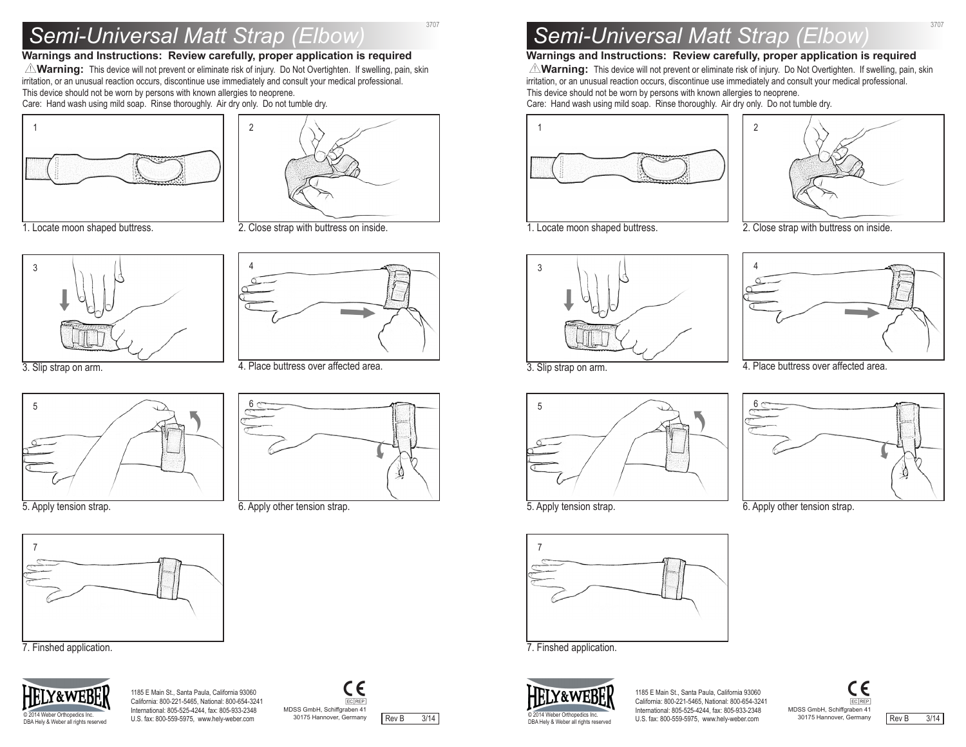# *Semi-Universal Matt Strap (Elbow)* 3707

#### **Warnings and Instructions: Review carefully, proper application is required**

Y**Warning:** This device will not prevent or eliminate risk of injury. Do Not Overtighten. If swelling, pain, skin irritation, or an unusual reaction occurs, discontinue use immediately and consult yourmedical professional. This device should not be worn by persons with known allergies to neoprene. Care: Hand wash using mild soap. Rinse thoroughly. Air dry only. Do not tumble dry.

6

4

2

6. Apply other tension strap.

4. Place buttress over affected area.

2. Close strap with buttress on inside.



1. Locate moon shaped buttress.



3. Slip strap on arm.



5. Apply tension strap.



7. Finshed application.



1185 E Main St., Santa Paula, California 93060 California: 800-221-5465, National: 800-654-3241 International: 805-525-4244, fax: 805-933-2348 © 2014 Weber Orthopedics Inc.<br>DRA Holy & Weber of Irights reserved U.S. fax: 800-559-5975, www.hely-weber.com



-C

# *Semi-Universal Matt Strap (Elbow)* <sup>3707</sup>

### **Warnings and Instructions: Review carefully, proper application is required**

**AVarning:** This device will not prevent or eliminate risk of injury. Do Not Overtighten. If swelling, pain, skin irritation, or an unusual reaction occurs, discontinue use immediately and consult your medical professional. This device should not be worn by persons with known allergies to neoprene. Care: Hand wash using mild soap. Rinse thoroughly. Air dry only. Do not tumble dry.

2





1. Locate moon shaped buttress.

2. Close strap with buttress on inside.





3. Slip strap on arm.



5. Apply tension strap.



6. Apply other tension strap.





1185 E Main St., Santa Paula, California 93060 California: 800-221-5465, National: 800-654-3241 International: 805-525-4244, fax: 805-933-2348 U.S. fax: 800-559-5975, www.hely-weber.com © 2014 Weber Orthopedics Inc.